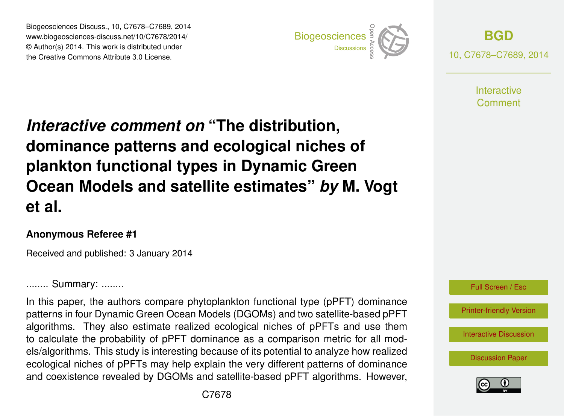Biogeosciences Discuss., 10, C7678–C7689, 2014 www.biogeosciences-discuss.net/10/C7678/2014/ www.biogeosciences-ulscuss.net/10/07070/2014/<br>© Author(s) 2014. This work is distributed under the Creative Commons Attribute 3.0 License.



**[BGD](http://www.biogeosciences-discuss.net)** 10, C7678–C7689, 2014

> **Interactive** Comment

#### Earth System dominance patterns and ecological niches of  $\mathbf{b}$ *Interactive comment on* "The distribution, plankton functional types in Dynamic Green nd oote and sale  $\blacksquare$  $\mathcal{L}_{\mathbf{b}}$ geoscientification **Ocean Models and satellite estimates"** *by* **M. Vogt**  $\overline{\phantom{a}}$ **et al.**

### **Anonymous Referee #1**

Geoscientific Received and published: 3 January 2014

........ Summary: ........

In this paper, the authors compare phytoplankton functional type (pPFT) dominance patterns in four Dynamic Green Ocean Models (DGOMs) and two satellite-based pPFT tc<br>1c n<br>e algorithms. They also estimate realized ecological niches of pPFTs and use them els/algorithms. This study is interesting because of its potential to analyze how realized m<br>Se<br>P e<br>⊓<br>n ecological niches of pPFTs may help explain the very different patterns of dominance to calculate the probability of pPFT dominance as a comparison metric for all modand coexistence revealed by DGOMs and satellite-based pPFT algorithms. However,



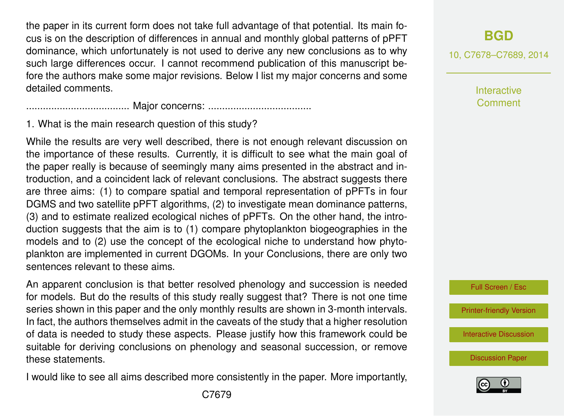the paper in its current form does not take full advantage of that potential. Its main focus is on the description of differences in annual and monthly global patterns of pPFT dominance, which unfortunately is not used to derive any new conclusions as to why such large differences occur. I cannot recommend publication of this manuscript before the authors make some major revisions. Below I list my major concerns and some detailed comments.

..................................... Major concerns: .....................................

1. What is the main research question of this study?

While the results are very well described, there is not enough relevant discussion on the importance of these results. Currently, it is difficult to see what the main goal of the paper really is because of seemingly many aims presented in the abstract and introduction, and a coincident lack of relevant conclusions. The abstract suggests there are three aims: (1) to compare spatial and temporal representation of pPFTs in four DGMS and two satellite pPFT algorithms, (2) to investigate mean dominance patterns, (3) and to estimate realized ecological niches of pPFTs. On the other hand, the introduction suggests that the aim is to (1) compare phytoplankton biogeographies in the models and to (2) use the concept of the ecological niche to understand how phytoplankton are implemented in current DGOMs. In your Conclusions, there are only two sentences relevant to these aims.

An apparent conclusion is that better resolved phenology and succession is needed for models. But do the results of this study really suggest that? There is not one time series shown in this paper and the only monthly results are shown in 3-month intervals. In fact, the authors themselves admit in the caveats of the study that a higher resolution of data is needed to study these aspects. Please justify how this framework could be suitable for deriving conclusions on phenology and seasonal succession, or remove these statements.

I would like to see all aims described more consistently in the paper. More importantly,

10, C7678–C7689, 2014

**Interactive** Comment



[Printer-friendly Version](http://www.biogeosciences-discuss.net/10/C7678/2014/bgd-10-C7678-2014-print.pdf)

[Interactive Discussion](http://www.biogeosciences-discuss.net/10/17193/2013/bgd-10-17193-2013-discussion.html)

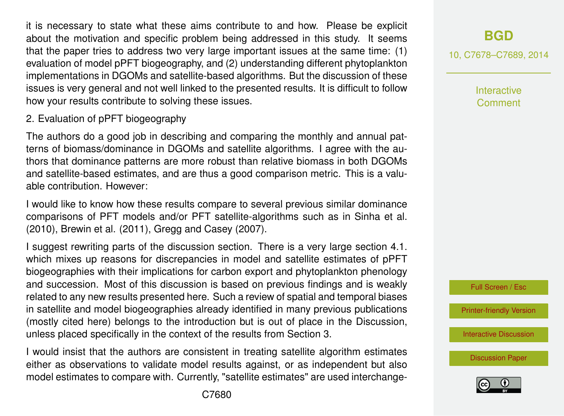it is necessary to state what these aims contribute to and how. Please be explicit about the motivation and specific problem being addressed in this study. It seems that the paper tries to address two very large important issues at the same time: (1) evaluation of model pPFT biogeography, and (2) understanding different phytoplankton implementations in DGOMs and satellite-based algorithms. But the discussion of these issues is very general and not well linked to the presented results. It is difficult to follow how your results contribute to solving these issues.

#### 2. Evaluation of pPFT biogeography

The authors do a good job in describing and comparing the monthly and annual patterns of biomass/dominance in DGOMs and satellite algorithms. I agree with the authors that dominance patterns are more robust than relative biomass in both DGOMs and satellite-based estimates, and are thus a good comparison metric. This is a valuable contribution. However:

I would like to know how these results compare to several previous similar dominance comparisons of PFT models and/or PFT satellite-algorithms such as in Sinha et al. (2010), Brewin et al. (2011), Gregg and Casey (2007).

I suggest rewriting parts of the discussion section. There is a very large section 4.1. which mixes up reasons for discrepancies in model and satellite estimates of pPFT biogeographies with their implications for carbon export and phytoplankton phenology and succession. Most of this discussion is based on previous findings and is weakly related to any new results presented here. Such a review of spatial and temporal biases in satellite and model biogeographies already identified in many previous publications (mostly cited here) belongs to the introduction but is out of place in the Discussion, unless placed specifically in the context of the results from Section 3.

I would insist that the authors are consistent in treating satellite algorithm estimates either as observations to validate model results against, or as independent but also model estimates to compare with. Currently, "satellite estimates" are used interchange10, C7678–C7689, 2014

**Interactive** Comment



[Printer-friendly Version](http://www.biogeosciences-discuss.net/10/C7678/2014/bgd-10-C7678-2014-print.pdf)

[Interactive Discussion](http://www.biogeosciences-discuss.net/10/17193/2013/bgd-10-17193-2013-discussion.html)

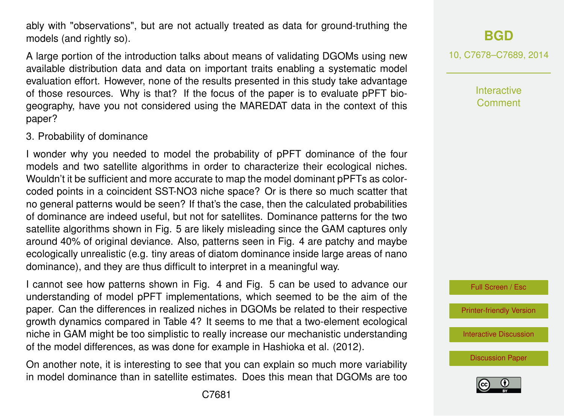ably with "observations", but are not actually treated as data for ground-truthing the models (and rightly so).

A large portion of the introduction talks about means of validating DGOMs using new available distribution data and data on important traits enabling a systematic model evaluation effort. However, none of the results presented in this study take advantage of those resources. Why is that? If the focus of the paper is to evaluate pPFT biogeography, have you not considered using the MAREDAT data in the context of this paper?

#### 3. Probability of dominance

I wonder why you needed to model the probability of pPFT dominance of the four models and two satellite algorithms in order to characterize their ecological niches. Wouldn't it be sufficient and more accurate to map the model dominant pPFTs as colorcoded points in a coincident SST-NO3 niche space? Or is there so much scatter that no general patterns would be seen? If that's the case, then the calculated probabilities of dominance are indeed useful, but not for satellites. Dominance patterns for the two satellite algorithms shown in Fig. 5 are likely misleading since the GAM captures only around 40% of original deviance. Also, patterns seen in Fig. 4 are patchy and maybe ecologically unrealistic (e.g. tiny areas of diatom dominance inside large areas of nano dominance), and they are thus difficult to interpret in a meaningful way.

I cannot see how patterns shown in Fig. 4 and Fig. 5 can be used to advance our understanding of model pPFT implementations, which seemed to be the aim of the paper. Can the differences in realized niches in DGOMs be related to their respective growth dynamics compared in Table 4? It seems to me that a two-element ecological niche in GAM might be too simplistic to really increase our mechanistic understanding of the model differences, as was done for example in Hashioka et al. (2012).

On another note, it is interesting to see that you can explain so much more variability in model dominance than in satellite estimates. Does this mean that DGOMs are too 10, C7678–C7689, 2014

**Interactive Comment** 



[Printer-friendly Version](http://www.biogeosciences-discuss.net/10/C7678/2014/bgd-10-C7678-2014-print.pdf)

[Interactive Discussion](http://www.biogeosciences-discuss.net/10/17193/2013/bgd-10-17193-2013-discussion.html)

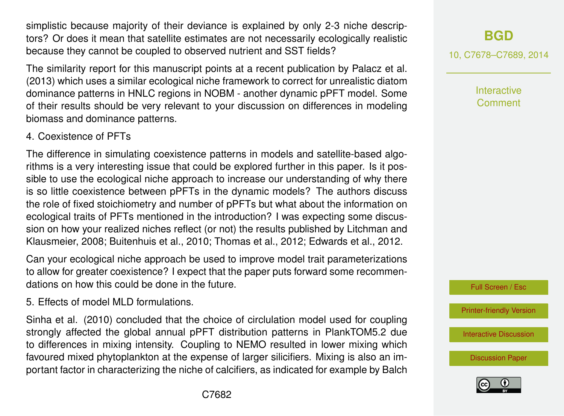simplistic because majority of their deviance is explained by only 2-3 niche descriptors? Or does it mean that satellite estimates are not necessarily ecologically realistic because they cannot be coupled to observed nutrient and SST fields?

The similarity report for this manuscript points at a recent publication by Palacz et al. (2013) which uses a similar ecological niche framework to correct for unrealistic diatom dominance patterns in HNLC regions in NOBM - another dynamic pPFT model. Some of their results should be very relevant to your discussion on differences in modeling biomass and dominance patterns.

#### 4. Coexistence of PFTs

The difference in simulating coexistence patterns in models and satellite-based algorithms is a very interesting issue that could be explored further in this paper. Is it possible to use the ecological niche approach to increase our understanding of why there is so little coexistence between pPFTs in the dynamic models? The authors discuss the role of fixed stoichiometry and number of pPFTs but what about the information on ecological traits of PFTs mentioned in the introduction? I was expecting some discussion on how your realized niches reflect (or not) the results published by Litchman and Klausmeier, 2008; Buitenhuis et al., 2010; Thomas et al., 2012; Edwards et al., 2012.

Can your ecological niche approach be used to improve model trait parameterizations to allow for greater coexistence? I expect that the paper puts forward some recommendations on how this could be done in the future.

5. Effects of model MLD formulations.

Sinha et al. (2010) concluded that the choice of circlulation model used for coupling strongly affected the global annual pPFT distribution patterns in PlankTOM5.2 due to differences in mixing intensity. Coupling to NEMO resulted in lower mixing which favoured mixed phytoplankton at the expense of larger silicifiers. Mixing is also an important factor in characterizing the niche of calcifiers, as indicated for example by Balch 10, C7678–C7689, 2014

**Interactive** Comment

Full Screen / Esc

[Printer-friendly Version](http://www.biogeosciences-discuss.net/10/C7678/2014/bgd-10-C7678-2014-print.pdf)

[Interactive Discussion](http://www.biogeosciences-discuss.net/10/17193/2013/bgd-10-17193-2013-discussion.html)

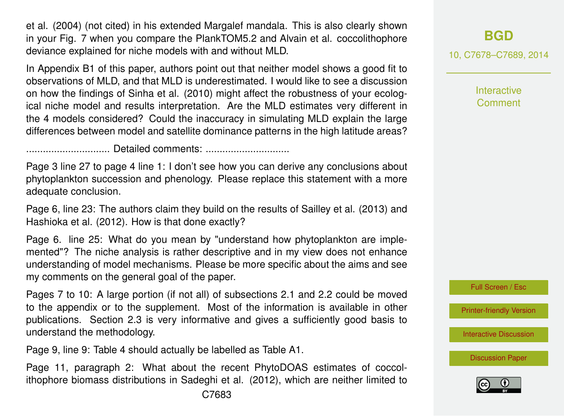et al. (2004) (not cited) in his extended Margalef mandala. This is also clearly shown in your Fig. 7 when you compare the PlankTOM5.2 and Alvain et al. coccolithophore deviance explained for niche models with and without MLD.

In Appendix B1 of this paper, authors point out that neither model shows a good fit to observations of MLD, and that MLD is underestimated. I would like to see a discussion on how the findings of Sinha et al. (2010) might affect the robustness of your ecological niche model and results interpretation. Are the MLD estimates very different in the 4 models considered? Could the inaccuracy in simulating MLD explain the large differences between model and satellite dominance patterns in the high latitude areas?

.............................. Detailed comments: ..............................

Page 3 line 27 to page 4 line 1: I don't see how you can derive any conclusions about phytoplankton succession and phenology. Please replace this statement with a more adequate conclusion.

Page 6, line 23: The authors claim they build on the results of Sailley et al. (2013) and Hashioka et al. (2012). How is that done exactly?

Page 6. line 25: What do you mean by "understand how phytoplankton are implemented"? The niche analysis is rather descriptive and in my view does not enhance understanding of model mechanisms. Please be more specific about the aims and see my comments on the general goal of the paper.

Pages 7 to 10: A large portion (if not all) of subsections 2.1 and 2.2 could be moved to the appendix or to the supplement. Most of the information is available in other publications. Section 2.3 is very informative and gives a sufficiently good basis to understand the methodology.

Page 9, line 9: Table 4 should actually be labelled as Table A1.

Page 11, paragraph 2: What about the recent PhytoDOAS estimates of coccolithophore biomass distributions in Sadeghi et al. (2012), which are neither limited to

# **[BGD](http://www.biogeosciences-discuss.net)**

10, C7678–C7689, 2014

**Interactive Comment** 



[Printer-friendly Version](http://www.biogeosciences-discuss.net/10/C7678/2014/bgd-10-C7678-2014-print.pdf)

[Interactive Discussion](http://www.biogeosciences-discuss.net/10/17193/2013/bgd-10-17193-2013-discussion.html)

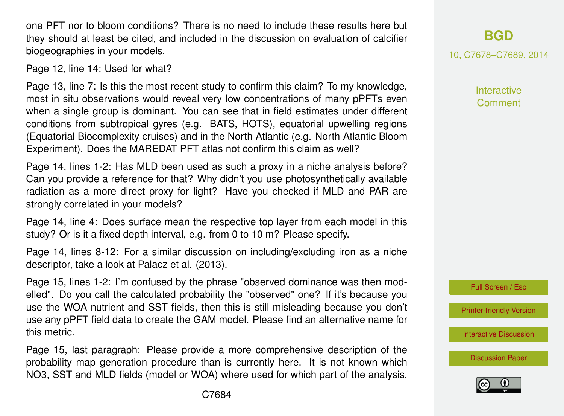one PFT nor to bloom conditions? There is no need to include these results here but they should at least be cited, and included in the discussion on evaluation of calcifier biogeographies in your models.

Page 12, line 14: Used for what?

Page 13, line 7: Is this the most recent study to confirm this claim? To my knowledge, most in situ observations would reveal very low concentrations of many pPFTs even when a single group is dominant. You can see that in field estimates under different conditions from subtropical gyres (e.g. BATS, HOTS), equatorial upwelling regions (Equatorial Biocomplexity cruises) and in the North Atlantic (e.g. North Atlantic Bloom Experiment). Does the MAREDAT PFT atlas not confirm this claim as well?

Page 14, lines 1-2: Has MLD been used as such a proxy in a niche analysis before? Can you provide a reference for that? Why didn't you use photosynthetically available radiation as a more direct proxy for light? Have you checked if MLD and PAR are strongly correlated in your models?

Page 14, line 4: Does surface mean the respective top layer from each model in this study? Or is it a fixed depth interval, e.g. from 0 to 10 m? Please specify.

Page 14, lines 8-12: For a similar discussion on including/excluding iron as a niche descriptor, take a look at Palacz et al. (2013).

Page 15, lines 1-2: I'm confused by the phrase "observed dominance was then modelled". Do you call the calculated probability the "observed" one? If it's because you use the WOA nutrient and SST fields, then this is still misleading because you don't use any pPFT field data to create the GAM model. Please find an alternative name for this metric.

Page 15, last paragraph: Please provide a more comprehensive description of the probability map generation procedure than is currently here. It is not known which NO3, SST and MLD fields (model or WOA) where used for which part of the analysis. **[BGD](http://www.biogeosciences-discuss.net)**

10, C7678–C7689, 2014

**Interactive** Comment



[Printer-friendly Version](http://www.biogeosciences-discuss.net/10/C7678/2014/bgd-10-C7678-2014-print.pdf)

[Interactive Discussion](http://www.biogeosciences-discuss.net/10/17193/2013/bgd-10-17193-2013-discussion.html)

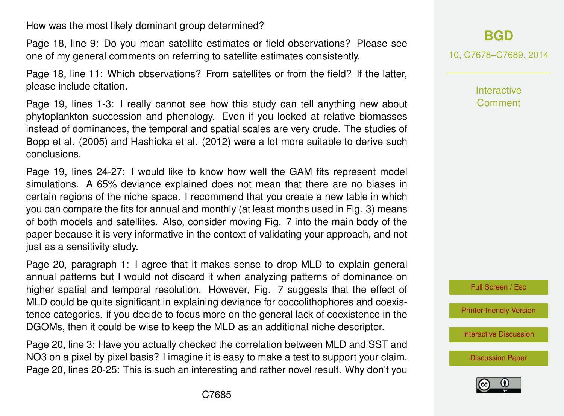How was the most likely dominant group determined?

Page 18, line 9: Do you mean satellite estimates or field observations? Please see one of my general comments on referring to satellite estimates consistently.

Page 18, line 11: Which observations? From satellites or from the field? If the latter, please include citation.

Page 19, lines 1-3: I really cannot see how this study can tell anything new about phytoplankton succession and phenology. Even if you looked at relative biomasses instead of dominances, the temporal and spatial scales are very crude. The studies of Bopp et al. (2005) and Hashioka et al. (2012) were a lot more suitable to derive such conclusions.

Page 19, lines 24-27: I would like to know how well the GAM fits represent model simulations. A 65% deviance explained does not mean that there are no biases in certain regions of the niche space. I recommend that you create a new table in which you can compare the fits for annual and monthly (at least months used in Fig. 3) means of both models and satellites. Also, consider moving Fig. 7 into the main body of the paper because it is very informative in the context of validating your approach, and not just as a sensitivity study.

Page 20, paragraph 1: I agree that it makes sense to drop MLD to explain general annual patterns but I would not discard it when analyzing patterns of dominance on higher spatial and temporal resolution. However, Fig. 7 suggests that the effect of MLD could be quite significant in explaining deviance for coccolithophores and coexistence categories. if you decide to focus more on the general lack of coexistence in the DGOMs, then it could be wise to keep the MLD as an additional niche descriptor.

Page 20, line 3: Have you actually checked the correlation between MLD and SST and NO3 on a pixel by pixel basis? I imagine it is easy to make a test to support your claim. Page 20, lines 20-25: This is such an interesting and rather novel result. Why don't you **[BGD](http://www.biogeosciences-discuss.net)**

10, C7678–C7689, 2014

**Interactive Comment** 



[Printer-friendly Version](http://www.biogeosciences-discuss.net/10/C7678/2014/bgd-10-C7678-2014-print.pdf)

[Interactive Discussion](http://www.biogeosciences-discuss.net/10/17193/2013/bgd-10-17193-2013-discussion.html)

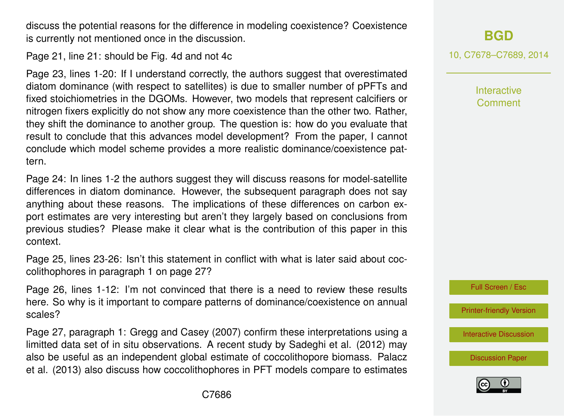discuss the potential reasons for the difference in modeling coexistence? Coexistence is currently not mentioned once in the discussion.

Page 21, line 21: should be Fig. 4d and not 4c

Page 23, lines 1-20: If I understand correctly, the authors suggest that overestimated diatom dominance (with respect to satellites) is due to smaller number of pPFTs and fixed stoichiometries in the DGOMs. However, two models that represent calcifiers or nitrogen fixers explicitly do not show any more coexistence than the other two. Rather, they shift the dominance to another group. The question is: how do you evaluate that result to conclude that this advances model development? From the paper, I cannot conclude which model scheme provides a more realistic dominance/coexistence pattern.

Page 24: In lines 1-2 the authors suggest they will discuss reasons for model-satellite differences in diatom dominance. However, the subsequent paragraph does not say anything about these reasons. The implications of these differences on carbon export estimates are very interesting but aren't they largely based on conclusions from previous studies? Please make it clear what is the contribution of this paper in this context.

Page 25, lines 23-26: Isn't this statement in conflict with what is later said about coccolithophores in paragraph 1 on page 27?

Page 26, lines 1-12: I'm not convinced that there is a need to review these results here. So why is it important to compare patterns of dominance/coexistence on annual scales?

Page 27, paragraph 1: Gregg and Casey (2007) confirm these interpretations using a limitted data set of in situ observations. A recent study by Sadeghi et al. (2012) may also be useful as an independent global estimate of coccolithopore biomass. Palacz et al. (2013) also discuss how coccolithophores in PFT models compare to estimates 10, C7678–C7689, 2014

Interactive Comment



[Printer-friendly Version](http://www.biogeosciences-discuss.net/10/C7678/2014/bgd-10-C7678-2014-print.pdf)

[Interactive Discussion](http://www.biogeosciences-discuss.net/10/17193/2013/bgd-10-17193-2013-discussion.html)

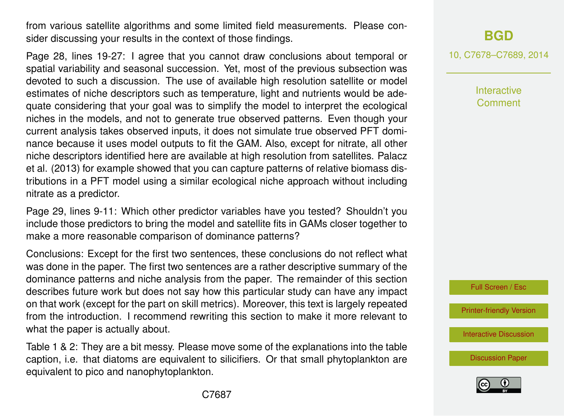from various satellite algorithms and some limited field measurements. Please consider discussing your results in the context of those findings.

Page 28, lines 19-27: I agree that you cannot draw conclusions about temporal or spatial variability and seasonal succession. Yet, most of the previous subsection was devoted to such a discussion. The use of available high resolution satellite or model estimates of niche descriptors such as temperature, light and nutrients would be adequate considering that your goal was to simplify the model to interpret the ecological niches in the models, and not to generate true observed patterns. Even though your current analysis takes observed inputs, it does not simulate true observed PFT dominance because it uses model outputs to fit the GAM. Also, except for nitrate, all other niche descriptors identified here are available at high resolution from satellites. Palacz et al. (2013) for example showed that you can capture patterns of relative biomass distributions in a PFT model using a similar ecological niche approach without including nitrate as a predictor.

Page 29, lines 9-11: Which other predictor variables have you tested? Shouldn't you include those predictors to bring the model and satellite fits in GAMs closer together to make a more reasonable comparison of dominance patterns?

Conclusions: Except for the first two sentences, these conclusions do not reflect what was done in the paper. The first two sentences are a rather descriptive summary of the dominance patterns and niche analysis from the paper. The remainder of this section describes future work but does not say how this particular study can have any impact on that work (except for the part on skill metrics). Moreover, this text is largely repeated from the introduction. I recommend rewriting this section to make it more relevant to what the paper is actually about.

Table 1 & 2: They are a bit messy. Please move some of the explanations into the table caption, i.e. that diatoms are equivalent to silicifiers. Or that small phytoplankton are equivalent to pico and nanophytoplankton.

## **[BGD](http://www.biogeosciences-discuss.net)**

10, C7678–C7689, 2014

**Interactive** Comment



[Printer-friendly Version](http://www.biogeosciences-discuss.net/10/C7678/2014/bgd-10-C7678-2014-print.pdf)

[Interactive Discussion](http://www.biogeosciences-discuss.net/10/17193/2013/bgd-10-17193-2013-discussion.html)

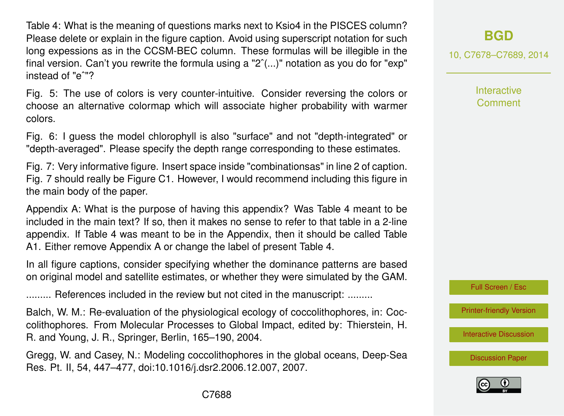Table 4: What is the meaning of questions marks next to Ksio4 in the PISCES column? Please delete or explain in the figure caption. Avoid using superscript notation for such long expessions as in the CCSM-BEC column. These formulas will be illegible in the final version. Can't you rewrite the formula using a " $2^{\degree}$ (...)" notation as you do for "exp" instead of "eˆ"?

Fig. 5: The use of colors is very counter-intuitive. Consider reversing the colors or choose an alternative colormap which will associate higher probability with warmer colors.

Fig. 6: I guess the model chlorophyll is also "surface" and not "depth-integrated" or "depth-averaged". Please specify the depth range corresponding to these estimates.

Fig. 7: Very informative figure. Insert space inside "combinationsas" in line 2 of caption. Fig. 7 should really be Figure C1. However, I would recommend including this figure in the main body of the paper.

Appendix A: What is the purpose of having this appendix? Was Table 4 meant to be included in the main text? If so, then it makes no sense to refer to that table in a 2-line appendix. If Table 4 was meant to be in the Appendix, then it should be called Table A1. Either remove Appendix A or change the label of present Table 4.

In all figure captions, consider specifying whether the dominance patterns are based on original model and satellite estimates, or whether they were simulated by the GAM.

......... References included in the review but not cited in the manuscript: .........

Balch, W. M.: Re-evaluation of the physiological ecology of coccolithophores, in: Coccolithophores. From Molecular Processes to Global Impact, edited by: Thierstein, H. R. and Young, J. R., Springer, Berlin, 165–190, 2004.

Gregg, W. and Casey, N.: Modeling coccolithophores in the global oceans, Deep-Sea Res. Pt. II, 54, 447–477, doi:10.1016/j.dsr2.2006.12.007, 2007.

**[BGD](http://www.biogeosciences-discuss.net)**

10, C7678–C7689, 2014

**Interactive Comment** 

Full Screen / Esc

[Printer-friendly Version](http://www.biogeosciences-discuss.net/10/C7678/2014/bgd-10-C7678-2014-print.pdf)

[Interactive Discussion](http://www.biogeosciences-discuss.net/10/17193/2013/bgd-10-17193-2013-discussion.html)